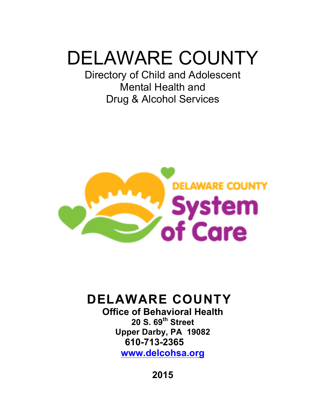# DELAWARE COUNTY

Directory of Child and Adolescent Mental Health and Drug & Alcohol Services



# **DELAWARE COUNTY**

**Office of Behavioral Health 20 S. 69th Street Upper Darby, PA 19082 610-713-2365 www.delcohsa.org**

**2015**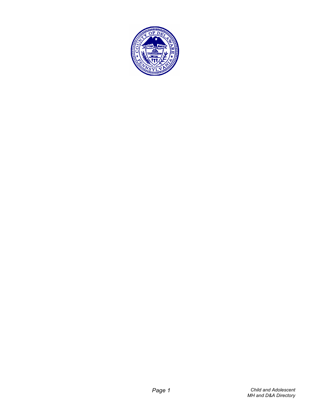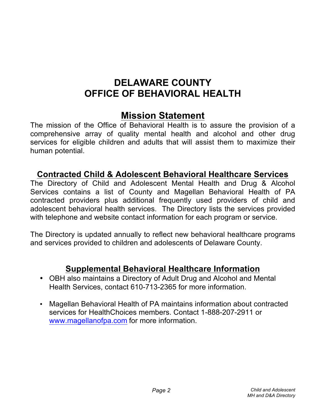## **DELAWARE COUNTY OFFICE OF BEHAVIORAL HEALTH**

## **Mission Statement**

The mission of the Office of Behavioral Health is to assure the provision of a comprehensive array of quality mental health and alcohol and other drug services for eligible children and adults that will assist them to maximize their human potential.

## **Contracted Child & Adolescent Behavioral Healthcare Services**

The Directory of Child and Adolescent Mental Health and Drug & Alcohol Services contains a list of County and Magellan Behavioral Health of PA contracted providers plus additional frequently used providers of child and adolescent behavioral health services. The Directory lists the services provided with telephone and website contact information for each program or service.

The Directory is updated annually to reflect new behavioral healthcare programs and services provided to children and adolescents of Delaware County.

## **Supplemental Behavioral Healthcare Information**

- OBH also maintains a Directory of Adult Drug and Alcohol and Mental Health Services, contact 610-713-2365 for more information.
- Magellan Behavioral Health of PA maintains information about contracted services for HealthChoices members. Contact 1-888-207-2911 or www.magellanofpa.com for more information.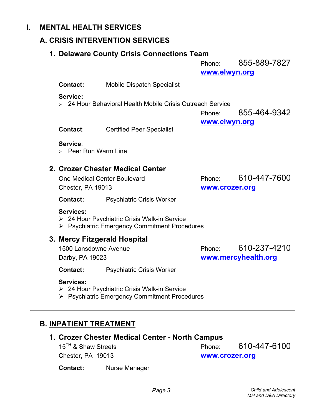## **I. MENTAL HEALTH SERVICES**

## **A. CRISIS INTERVENTION SERVICES**

#### **1. Delaware County Crisis Connections Team**

Phone: 855-889-7827 **www.elwyn.org Contact:** Mobile Dispatch Specialist **Service:**  $\geq$  24 Hour Behavioral Health Mobile Crisis Outreach Service Phone: 855-464-9342 **www.elwyn.org Contact:** Certified Peer Specialist **Service**:  $\triangleright$  Peer Run Warm Line **2. Crozer Chester Medical Center** One Medical Center Boulevard **Phone:** 610-447-7600 Chester, PA 19013 **www.crozer.org Contact:** Psychiatric Crisis Worker **Services:** Ø 24 Hour Psychiatric Crisis Walk-in Service Ø Psychiatric Emergency Commitment Procedures **3. Mercy Fitzgerald Hospital** 1500 Lansdowne Avenue **Phone:** 610-237-4210 Darby, PA 19023 **www.mercyhealth.org Contact:** Psychiatric Crisis Worker

#### **Services:**

- $\geq$  24 Hour Psychiatric Crisis Walk-in Service
- Ø Psychiatric Emergency Commitment Procedures

## **B. INPATIENT TREATMENT**

#### **1. Crozer Chester Medical Center - North Campus**

15<sup>TH</sup> & Shaw Streets **Phone:** 610-447-6100

Chester, PA 19013 **www.crozer.org**

**Contact:** Nurse Manager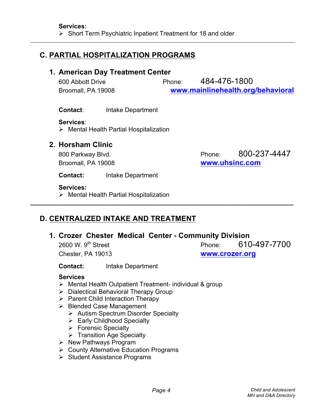## **C. PARTIAL HOSPITALIZATION PROGRAMS**

#### **1. American Day Treatment Center**

600 Abbott Drive Phone: 484-476-1800 Broomall, PA 19008 **www.mainlinehealth.org/behavioral**

**Contact**: Intake Department

#### **Services**:

 $\triangleright$  Mental Health Partial Hospitalization

#### **2. Horsham Clinic**

800 Parkway Blvd. **All and Struth Control** Phone: 800-237-4447 Broomall, PA 19008 **www.uhsinc.com**

**Contact:** Intake Department

#### **Services:**

 $\triangleright$  Mental Health Partial Hospitalization

## **D. CENTRALIZED INTAKE AND TREATMENT**

#### **1. Crozer Chester Medical Center - Community Division**

**\_\_\_\_\_\_\_\_\_\_\_\_\_\_\_\_\_\_\_\_\_\_\_\_\_\_\_\_\_\_\_\_\_\_\_\_\_\_\_\_\_\_\_\_\_\_\_\_\_\_\_\_\_\_\_\_\_\_\_\_\_\_\_\_\_\_\_\_\_\_\_\_\_\_\_**

2600 W. 9th Street Phone: 610-497-7700 Chester, PA 19013 **www.crozer.org**

**Contact:** Intake Department

#### **Services**

- $\triangleright$  Mental Health Outpatient Treatment- individual & group
- $\triangleright$  Dialectical Behavioral Therapy Group
- $\triangleright$  Parent Child Interaction Therapy
- $\triangleright$  Blended Case Management
	- $\triangleright$  Autism Spectrum Disorder Specialty
	- $\triangleright$  Early Childhood Specialty
	- $\triangleright$  Forensic Specialty
	- $\triangleright$  Transition Age Specialty
- $\triangleright$  New Pathways Program
- $\triangleright$  County Alternative Education Programs
- $\triangleright$  Student Assistance Programs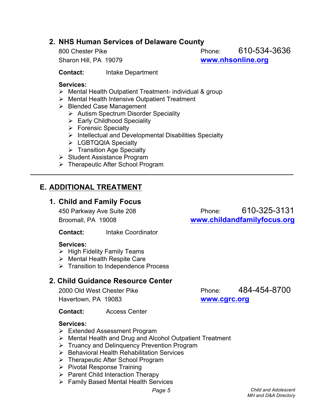## **2. NHS Human Services of Delaware County**

800 Chester Pike **Phone:** 610-534-3636 Sharon Hill, PA 19079 **www.nhsonline.org**

**Contact:** Intake Department

#### **Services:**

- $\triangleright$  Mental Health Outpatient Treatment- individual & group
- $\triangleright$  Mental Health Intensive Outpatient Treatment
- $\triangleright$  Blended Case Management
	- Ø Autism Spectrum Disorder Speciality
	- $\triangleright$  Early Childhood Speciality
	- $\triangleright$  Forensic Specialty
	- $\triangleright$  Intellectual and Developmental Disabilities Specialty

**\_\_\_\_\_\_\_\_\_\_\_\_\_\_\_\_\_\_\_\_\_\_\_\_\_\_\_\_\_\_\_\_\_\_\_\_\_\_\_\_\_\_\_\_\_\_\_\_\_\_\_\_\_\_\_\_\_\_\_\_\_\_\_\_\_\_\_\_\_\_\_\_\_\_\_**

- Ø LGBTQQIA Specialty
- $\triangleright$  Transition Age Specialty
- $\triangleright$  Student Assistance Program
- $\triangleright$  Therapeutic After School Program

## **E. ADDITIONAL TREATMENT**

#### **1. Child and Family Focus**

450 Parkway Ave Suite 208 Phone: 610-325-3131 Broomall, PA 19008 **www.childandfamilyfocus.org**

**Contact:** Intake Coordinator

#### **Services:**

- $\triangleright$  High Fidelity Family Teams
- $\triangleright$  Mental Health Respite Care
- $\triangleright$  Transition to Independence Process

#### **2. Child Guidance Resource Center**

Havertown, PA 19083 **www.cgrc.org**

2000 Old West Chester Pike **Phone:** 484-454-8700

**Contact:** Access Center

#### **Services:**

- $\triangleright$  Extended Assessment Program
- Ø Mental Health and Drug and Alcohol Outpatient Treatment
- $\triangleright$  Truancy and Delinguency Prevention Program
- $\triangleright$  Behavioral Health Rehabilitation Services
- $\triangleright$  Therapeutic After School Program
- $\triangleright$  Pivotal Response Training
- $\triangleright$  Parent Child Interaction Therapy
- $\triangleright$  Family Based Mental Health Services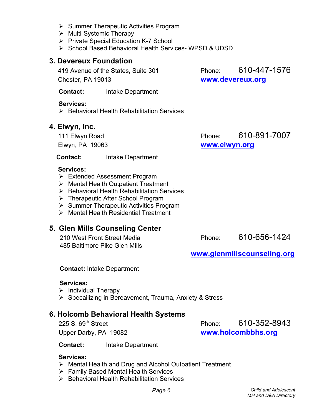$\triangleright$  Summer Therapeutic Activities Program  $\triangleright$  Multi-Systemic Therapy Ø Private Special Education K-7 School Ø School Based Behavioral Health Services- WPSD & UDSD **3. Devereux Foundation** 419 Avenue of the States, Suite 301 Phone: 610-447-1576 Chester, PA 19013 **www.devereux.org Contact:** Intake Department **Services:**   $\triangleright$  Behavioral Health Rehabilitation Services **4. Elwyn, Inc.** 111 Elwyn Road Phone: 610-891-7007 Elwyn, PA 19063 **www.elwyn.org Contact:** Intake Department **Services:**  $\triangleright$  Extended Assessment Program Ø Mental Health Outpatient Treatment Ø Behavioral Health Rehabilitation Services  $\triangleright$  Therapeutic After School Program  $\triangleright$  Summer Therapeutic Activities Program Ø Mental Health Residential Treatment **5. Glen Mills Counseling Center** 210 West Front Street Media Phone: 610-656-1424<br>485 Baltimore Pike Glen Mills **www.glenmillscounseling.org Contact:** Intake Department  **Services:**  $\triangleright$  Individual Therapy Ø Specailizing in Bereavement, Trauma, Anxiety & Stress **6. Holcomb Behavioral Health Systems** 225 S. 69th Street Phone: 610-352-8943

Upper Darby, PA 19082 **www.holcombbhs.org**

**Contact:** Intake Department

#### **Services:**

- $\triangleright$  Mental Health and Drug and Alcohol Outpatient Treatment
- Ø Family Based Mental Health Services
- $\triangleright$  Behavioral Health Rehabilitation Services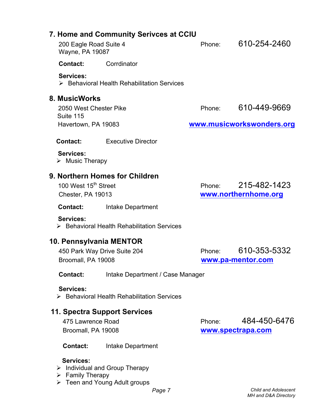| 200 Eagle Road Suite 4<br>Wayne, PA 19087                                               | 7. Home and Community Serivces at CCIU                     | Phone: | 610-254-2460                         |
|-----------------------------------------------------------------------------------------|------------------------------------------------------------|--------|--------------------------------------|
| <b>Contact:</b>                                                                         | Corrdinator                                                |        |                                      |
| <b>Services:</b>                                                                        | $\triangleright$ Behavioral Health Rehabilitation Services |        |                                      |
| 8. MusicWorks                                                                           |                                                            |        |                                      |
| 2050 West Chester Pike<br>Suite 115                                                     |                                                            | Phone: | 610-449-9669                         |
| Havertown, PA 19083                                                                     |                                                            |        | www.musicworkswonders.org            |
| <b>Contact:</b>                                                                         | <b>Executive Director</b>                                  |        |                                      |
| Services:<br>$\triangleright$ Music Therapy                                             |                                                            |        |                                      |
| 9. Northern Homes for Children<br>100 West 15 <sup>th</sup> Street<br>Chester, PA 19013 |                                                            | Phone: | 215-482-1423<br>www.northernhome.org |
| <b>Contact:</b>                                                                         | Intake Department                                          |        |                                      |
| <b>Services:</b>                                                                        | ▶ Behavioral Health Rehabilitation Services                |        |                                      |
|                                                                                         | 10. Pennsylvania MENTOR                                    |        |                                      |
|                                                                                         | 450 Park Way Drive Suite 204                               | Phone: | 610-353-5332                         |
| Broomall, PA 19008                                                                      |                                                            |        | www.pa-mentor.com                    |
| <b>Contact:</b>                                                                         | Intake Department / Case Manager                           |        |                                      |
| Services:                                                                               | $\triangleright$ Behavioral Health Rehabilitation Services |        |                                      |
|                                                                                         | 11. Spectra Support Services                               |        |                                      |
| 475 Lawrence Road                                                                       |                                                            | Phone: | 484-450-6476                         |
| Broomall, PA 19008                                                                      |                                                            |        | www.spectrapa.com                    |
| <b>Contact:</b>                                                                         | Intake Department                                          |        |                                      |
| <b>Services:</b>                                                                        |                                                            |        |                                      |

- $\triangleright$  Individual and Group Therapy
- $\triangleright$  Family Therapy
- $\triangleright$  Teen and Young Adult groups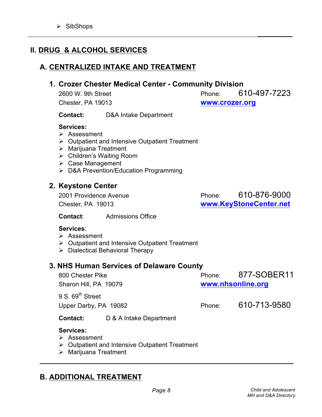## **II. DRUG & ALCOHOL SERVICES**

## **A. CENTRALIZED INTAKE AND TREATMENT**

#### **1. Crozer Chester Medical Center - Community Division**

2600 W. 9th Street Phone: 610-497-7223 Chester, PA 19013 **www.crozer.org**

**\_\_\_\_\_\_\_\_\_\_**

**Contact:** D&A Intake Department

#### **Services:**

- $\triangleright$  Assessment
- $\triangleright$  Outpatient and Intensive Outpatient Treatment
- $\triangleright$  Marijuana Treatment
- $\triangleright$  Children's Waiting Room
- $\triangleright$  Case Management
- Ø D&A Prevention/Education Programming

#### **2. Keystone Center**

2001 Providence Avenue Phone: 610-876-9000 Chester, PA 19013 **www.KeyStoneCenter.net**

#### **Contact**: Admissions Office

#### **Services**:

- $\triangleright$  Assessment
- $\triangleright$  Outpatient and Intensive Outpatient Treatment
- $\triangleright$  Dialectical Behavioral Therapy

#### **3. NHS Human Services of Delaware County**

| 800 Chester Pike<br>Sharon Hill, PA 19079                                                              |                         |        | Phone: 877-SOBER11<br>www.nhsonline.org |  |  |
|--------------------------------------------------------------------------------------------------------|-------------------------|--------|-----------------------------------------|--|--|
| 9 S. 69 <sup>th</sup> Street<br>Upper Darby, PA 19082                                                  |                         | Phone: | 610-713-9580                            |  |  |
| <b>Contact:</b>                                                                                        | D & A Intake Department |        |                                         |  |  |
| <b>Services:</b><br>Assessment<br>Outpatient and Intensive Outpatient Treatment<br>Marijuana Treatment |                         |        |                                         |  |  |

## **B. ADDITIONAL TREATMENT**

**\_\_\_\_\_\_\_\_\_\_\_\_\_\_\_\_\_\_\_\_\_\_\_\_\_\_\_\_\_\_\_\_\_\_\_\_\_\_\_\_\_\_\_\_\_\_\_\_\_\_\_\_\_\_\_\_\_\_\_\_\_\_**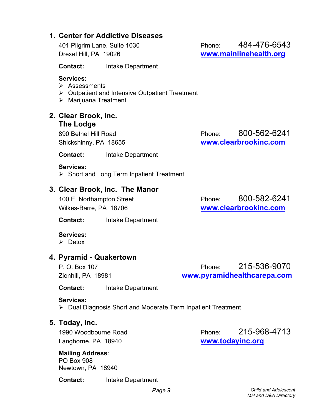## **1. Center for Addictive Diseases** 401 Pilgrim Lane, Suite 1030 Phone: 484-476-6543 Drexel Hill, PA 19026 **www.mainlinehealth.org Contact:** Intake Department **Services:**  $\triangleright$  Assessments  $\triangleright$  Outpatient and Intensive Outpatient Treatment  $\triangleright$  Marijuana Treatment **2. Clear Brook, Inc. The Lodge** 890 Bethel Hill Road Phone: 800-562-6241 Shickshinny, PA 18655 **www.clearbrookinc.com Contact:** Intake Department **Services:**  $\triangleright$  Short and Long Term Inpatient Treatment **3. Clear Brook, Inc. The Manor** 100 E. Northampton Street Phone: 800-582-6241 Wilkes-Barre, PA 18706 **www.clearbrookinc.com Contact:** Intake Department

**Services:**

 $\triangleright$  Detox

## **4. Pyramid - Quakertown**

P. O. Box 107 Phone: 215-536-9070 Zionhill, PA 18981 **www.pyramidhealthcarepa.com**

**Contact:** Intake Department

#### **Services:**

 $\triangleright$  Dual Diagnosis Short and Moderate Term Inpatient Treatment

## **5. Today, Inc.**

Langhorne, PA 18940 **www.todayinc.org**

**Mailing Address**: PO Box 908 Newtown, PA 18940

**Contact:** Intake Department

1990 Woodbourne Road Phone: 215-968-4713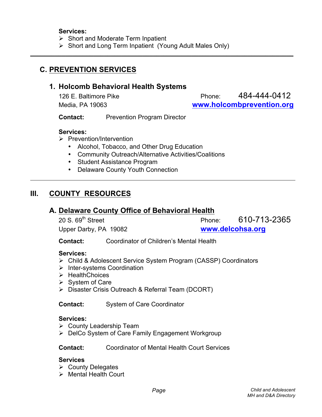- $\triangleright$  Short and Moderate Term Inpatient
- Ø Short and Long Term Inpatient (Young Adult Males Only)

**\_\_\_\_\_\_\_\_\_\_\_\_\_\_\_\_\_\_\_\_\_\_\_\_\_\_\_\_\_\_\_\_\_\_\_\_\_\_\_\_\_\_\_\_\_\_\_\_\_\_\_\_\_\_\_\_\_\_\_\_\_\_\_\_\_\_\_\_\_\_\_\_\_\_\_**

## **C. PREVENTION SERVICES**

#### **1. Holcomb Behavioral Health Systems**

126 E. Baltimore Pike **Phone:** 484-444-0412 Media, PA 19063 **www.holcombprevention.org**

**Contact:** Prevention Program Director

#### **Services:**

- $\triangleright$  Prevention/Intervention
	- Alcohol, Tobacco, and Other Drug Education
	- Community Outreach/Alternative Activities/Coalitions
	- Student Assistance Program
	- Delaware County Youth Connection

## **III. COUNTY RESOURCES**

#### **A. Delaware County Office of Behavioral Health**

20 S. 69th Street Phone: 610-713-2365

Upper Darby, PA 19082 **www.delcohsa.org**

**Contact:** Coordinator of Children's Mental Health

#### **Services:**

- Ø Child & Adolescent Service System Program (CASSP) Coordinators
- $\triangleright$  Inter-systems Coordination
- $\triangleright$  Health Choices
- $\triangleright$  System of Care
- Ø Disaster Crisis Outreach & Referral Team (DCORT)

**Contact:** System of Care Coordinator

#### **Services:**

- $\triangleright$  County Leadership Team
- Ø DelCo System of Care Family Engagement Workgroup

**Contact:** Coordinator of Mental Health Court Services

#### **Services**

- $\triangleright$  County Delegates
- $\triangleright$  Mental Health Court